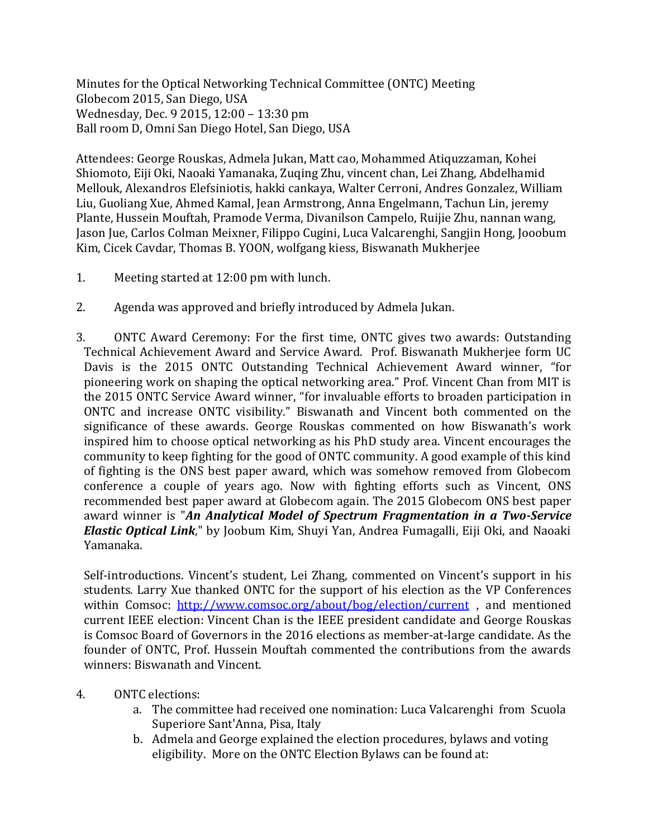Minutes for the Optical Networking Technical Committee (ONTC) Meeting Globecom 2015, San Diego, USA Wednesday, Dec. 9 2015, 12:00 – 13:30 pm Ball room D, Omni San Diego Hotel, San Diego, USA

Attendees: George Rouskas, Admela Jukan, Matt cao, Mohammed Atiquzzaman, Kohei Shiomoto, Eiji Oki, Naoaki Yamanaka, Zuqing Zhu, vincent chan, Lei Zhang, Abdelhamid Mellouk, Alexandros Elefsiniotis, hakki cankaya, Walter Cerroni, Andres Gonzalez, William Liu, Guoliang Xue, Ahmed Kamal, Jean Armstrong, Anna Engelmann, Tachun Lin, jeremy Plante, Hussein Mouftah, Pramode Verma, Divanilson Campelo, Ruijie Zhu, nannan wang, Jason Jue, Carlos Colman Meixner, Filippo Cugini, Luca Valcarenghi, Sangjin Hong, Jooobum Kim, Cicek Cavdar, Thomas B. YOON, wolfgang kiess, Biswanath Mukherjee

- 1. Meeting started at 12:00 pm with lunch.
- 2. Agenda was approved and briefly introduced by Admela Jukan.
- 3. ONTC Award Ceremony: For the first time, ONTC gives two awards: Outstanding Technical Achievement Award and Service Award. Prof. Biswanath Mukherjee form UC Davis is the 2015 ONTC Outstanding Technical Achievement Award winner, "for pioneering work on shaping the optical networking area." Prof. Vincent Chan from MIT is the 2015 ONTC Service Award winner, "for invaluable efforts to broaden participation in ONTC and increase ONTC visibility." Biswanath and Vincent both commented on the significance of these awards. George Rouskas commented on how Biswanath's work inspired him to choose optical networking as his PhD study area. Vincent encourages the community to keep fighting for the good of ONTC community. A good example of this kind of fighting is the ONS best paper award, which was somehow removed from Globecom conference a couple of years ago. Now with fighting efforts such as Vincent, ONS recommended best paper award at Globecom again. The 2015 Globecom ONS best paper award winner is "*An Analytical Model of Spectrum Fragmentation in a Two-Service Elastic Optical Link*," by Joobum Kim, Shuyi Yan, Andrea Fumagalli, Eiji Oki, and Naoaki Yamanaka.

Self-introductions. Vincent's student, Lei Zhang, commented on Vincent's support in his students. Larry Xue thanked ONTC for the support of his election as the VP Conferences within Comsoc: <http://www.comsoc.org/about/bog/election/current>, and mentioned current IEEE election: Vincent Chan is the IEEE president candidate and George Rouskas is Comsoc Board of Governors in the 2016 elections as member-at-large candidate. As the founder of ONTC, Prof. Hussein Mouftah commented the contributions from the awards winners: Biswanath and Vincent.

- 4. ONTC elections:
	- a. The committee had received one nomination: Luca Valcarenghi from Scuola Superiore Sant'Anna, Pisa, Italy
	- b. Admela and George explained the election procedures, bylaws and voting eligibility. More on the ONTC Election Bylaws can be found at: